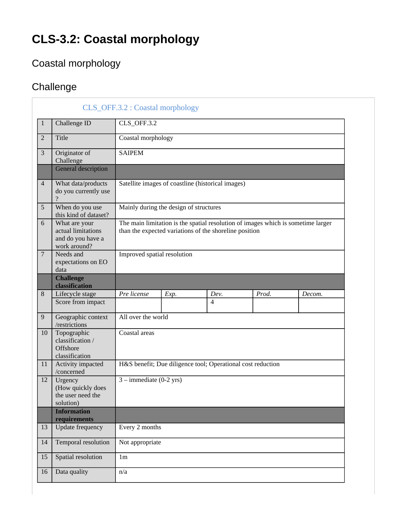## **CLS-3.2: Coastal morphology**

## Coastal morphology

## **Challenge**

|                |                                                                          | CLS_OFF.3.2 : Coastal morphology                                                                                                           |      |                |       |        |
|----------------|--------------------------------------------------------------------------|--------------------------------------------------------------------------------------------------------------------------------------------|------|----------------|-------|--------|
| 1              | Challenge ID                                                             | CLS_OFF.3.2                                                                                                                                |      |                |       |        |
| $\overline{2}$ | Title                                                                    | Coastal morphology                                                                                                                         |      |                |       |        |
| 3              | Originator of<br>Challenge                                               | <b>SAIPEM</b>                                                                                                                              |      |                |       |        |
|                | General description                                                      |                                                                                                                                            |      |                |       |        |
| $\overline{4}$ | What data/products<br>do you currently use                               | Satellite images of coastline (historical images)                                                                                          |      |                |       |        |
| 5              | When do you use<br>this kind of dataset?                                 | Mainly during the design of structures                                                                                                     |      |                |       |        |
| 6              | What are your<br>actual limitations<br>and do you have a<br>work around? | The main limitation is the spatial resolution of images which is sometime larger<br>than the expected variations of the shoreline position |      |                |       |        |
| $\overline{7}$ | Needs and<br>expectations on EO<br>data                                  | Improved spatial resolution                                                                                                                |      |                |       |        |
|                | <b>Challenge</b><br>classification                                       |                                                                                                                                            |      |                |       |        |
| 8              | Lifecycle stage                                                          | Pre license                                                                                                                                | Exp. | Dev.           | Prod. | Decom. |
|                | Score from impact                                                        |                                                                                                                                            |      | $\overline{4}$ |       |        |
| 9              | Geographic context<br>/restrictions                                      | All over the world                                                                                                                         |      |                |       |        |
| 10             | Topographic<br>classification /<br>Offshore<br>classification            | Coastal areas                                                                                                                              |      |                |       |        |
| 11             | Activity impacted<br>/concerned                                          | H&S benefit; Due diligence tool; Operational cost reduction                                                                                |      |                |       |        |
| 12             | Urgency<br>(How quickly does<br>the user need the<br>solution)           | $3$ – immediate (0-2 yrs)                                                                                                                  |      |                |       |        |
|                | <b>Information</b><br>requirements                                       |                                                                                                                                            |      |                |       |        |
| 13             | Update frequency                                                         | Every 2 months                                                                                                                             |      |                |       |        |
| 14             | Temporal resolution                                                      | Not appropriate                                                                                                                            |      |                |       |        |
| 15             | Spatial resolution                                                       | 1 <sub>m</sub>                                                                                                                             |      |                |       |        |
| 16             | Data quality                                                             | n/a                                                                                                                                        |      |                |       |        |